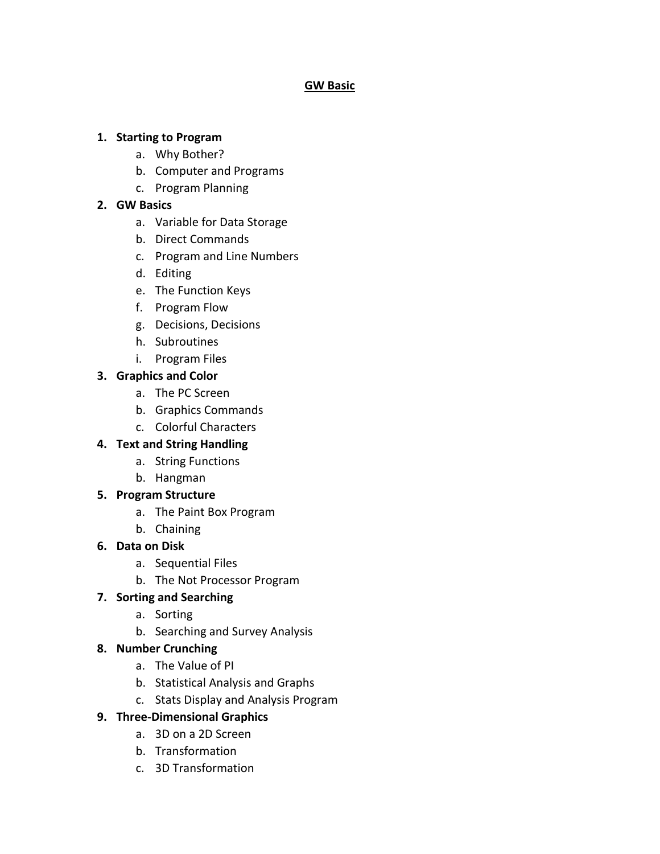#### **GW Basic**

#### **1. Starting to Program**

- a. Why Bother?
- b. Computer and Programs
- c. Program Planning

### **2. GW Basics**

- a. Variable for Data Storage
- b. Direct Commands
- c. Program and Line Numbers
- d. Editing
- e. The Function Keys
- f. Program Flow
- g. Decisions, Decisions
- h. Subroutines
- i. Program Files

### **3. Graphics and Color**

- a. The PC Screen
- b. Graphics Commands
- c. Colorful Characters

### **4. Text and String Handling**

- a. String Functions
- b. Hangman
- **5. Program Structure**
	- a. The Paint Box Program
	- b. Chaining

### **6. Data on Disk**

- a. Sequential Files
- b. The Not Processor Program

# **7. Sorting and Searching**

- a. Sorting
- b. Searching and Survey Analysis

### **8. Number Crunching**

- a. The Value of PI
- b. Statistical Analysis and Graphs
- c. Stats Display and Analysis Program

# **9. Three-Dimensional Graphics**

- a. 3D on a 2D Screen
- b. Transformation
- c. 3D Transformation